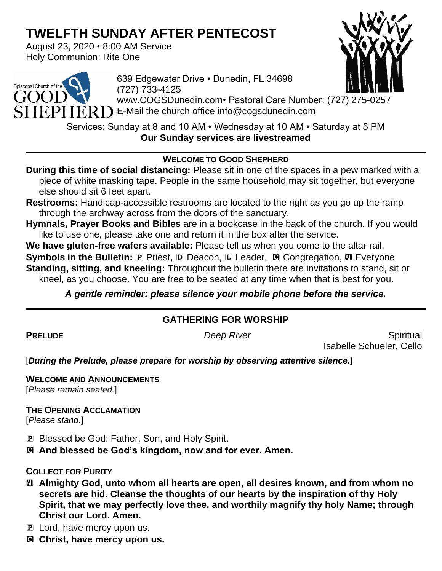# **TWELFTH SUNDAY AFTER PENTECOST**

August 23, 2020 • 8:00 AM Service Holy Communion: Rite One





639 Edgewater Drive • Dunedin, FL 34698 (727) 733-4125

www.COGSDunedin.com• Pastoral Care Number: (727) 275-0257 E-Mail the church office info@cogsdunedin.com

Services: Sunday at 8 and 10 AM • Wednesday at 10 AM • Saturday at 5 PM **Our Sunday services are livestreamed**

# **WELCOME TO GOOD SHEPHERD**

**During this time of social distancing:** Please sit in one of the spaces in a pew marked with a piece of white masking tape. People in the same household may sit together, but everyone else should sit 6 feet apart.

**Restrooms:** Handicap-accessible restrooms are located to the right as you go up the ramp through the archway across from the doors of the sanctuary.

**Hymnals, Prayer Books and Bibles** are in a bookcase in the back of the church. If you would like to use one, please take one and return it in the box after the service.

**We have gluten-free wafers available:** Please tell us when you come to the altar rail. **Symbols in the Bulletin: P** Priest, **D** Deacon, **L** Leader, **G** Congregation, **M** Everyone **Standing, sitting, and kneeling:** Throughout the bulletin there are invitations to stand, sit or kneel, as you choose. You are free to be seated at any time when that is best for you.

# *A gentle reminder: please silence your mobile phone before the service.*

# **GATHERING FOR WORSHIP**

**PRELUDE** Spiritual *Deep River* Spiritual Isabelle Schueler, Cello

[*During the Prelude, please prepare for worship by observing attentive silence.*]

**WELCOME AND ANNOUNCEMENTS** [*Please remain seated.*]

**THE OPENING ACCLAMATION**

[*Please stand.*]

P Blessed be God: Father, Son, and Holy Spirit.

C **And blessed be God's kingdom, now and for ever. Amen.**

# **COLLECT FOR PURITY**

- a **Almighty God, unto whom all hearts are open, all desires known, and from whom no secrets are hid. Cleanse the thoughts of our hearts by the inspiration of thy Holy Spirit, that we may perfectly love thee, and worthily magnify thy holy Name; through Christ our Lord. Amen.**
- P Lord, have mercy upon us.
- C **Christ, have mercy upon us.**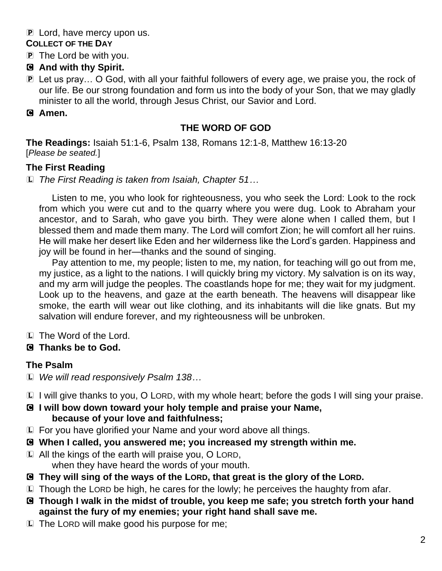#### **P** Lord, have mercy upon us.

## **COLLECT OF THE DAY**

P The Lord be with you.

# C **And with thy Spirit.**

- P Let us pray… O God, with all your faithful followers of every age, we praise you, the rock of our life. Be our strong foundation and form us into the body of your Son, that we may gladly minister to all the world, through Jesus Christ, our Savior and Lord.
- C **Amen.**

# **THE WORD OF GOD**

**The Readings:** Isaiah 51:1-6, Psalm 138, Romans 12:1-8, Matthew 16:13-20 [*Please be seated.*]

# **The First Reading**

L *The First Reading is taken from Isaiah, Chapter 51…*

Listen to me, you who look for righteousness, you who seek the Lord: Look to the rock from which you were cut and to the quarry where you were dug. Look to Abraham your ancestor, and to Sarah, who gave you birth. They were alone when I called them, but I blessed them and made them many. The Lord will comfort Zion; he will comfort all her ruins. He will make her desert like Eden and her wilderness like the Lord's garden. Happiness and joy will be found in her—thanks and the sound of singing.

Pay attention to me, my people; listen to me, my nation, for teaching will go out from me, my justice, as a light to the nations. I will quickly bring my victory. My salvation is on its way, and my arm will judge the peoples. The coastlands hope for me; they wait for my judgment. Look up to the heavens, and gaze at the earth beneath. The heavens will disappear like smoke, the earth will wear out like clothing, and its inhabitants will die like gnats. But my salvation will endure forever, and my righteousness will be unbroken.

- L The Word of the Lord.
- C **Thanks be to God.**

# **The Psalm**

- L *We will read responsively Psalm 138…*
- L I will give thanks to you, O LORD, with my whole heart; before the gods I will sing your praise.
- C **I will bow down toward your holy temple and praise your Name, because of your love and faithfulness;**
- L For you have glorified your Name and your word above all things.
- C **When I called, you answered me; you increased my strength within me.**
- L All the kings of the earth will praise you, O LORD, when they have heard the words of your mouth.
- C **They will sing of the ways of the LORD, that great is the glory of the LORD.**
- L Though the LORD be high, he cares for the lowly; he perceives the haughty from afar.
- C **Though I walk in the midst of trouble, you keep me safe; you stretch forth your hand against the fury of my enemies; your right hand shall save me.**
- L The LORD will make good his purpose for me;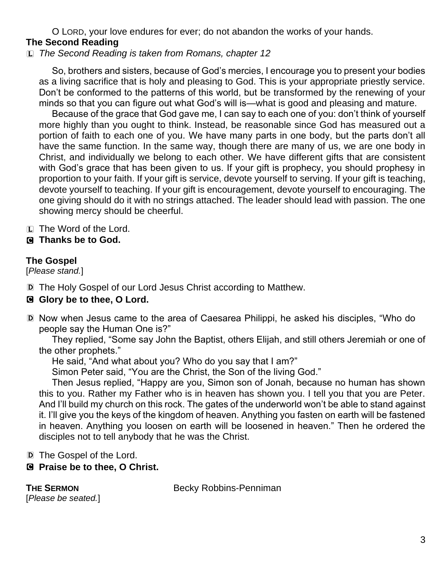O LORD, your love endures for ever; do not abandon the works of your hands.

## **The Second Reading**

L *The Second Reading is taken from Romans, chapter 12*

So, brothers and sisters, because of God's mercies, I encourage you to present your bodies as a living sacrifice that is holy and pleasing to God. This is your appropriate priestly service. Don't be conformed to the patterns of this world, but be transformed by the renewing of your minds so that you can figure out what God's will is—what is good and pleasing and mature.

Because of the grace that God gave me, I can say to each one of you: don't think of yourself more highly than you ought to think. Instead, be reasonable since God has measured out a portion of faith to each one of you. We have many parts in one body, but the parts don't all have the same function. In the same way, though there are many of us, we are one body in Christ, and individually we belong to each other. We have different gifts that are consistent with God's grace that has been given to us. If your gift is prophecy, you should prophesy in proportion to your faith. If your gift is service, devote yourself to serving. If your gift is teaching, devote yourself to teaching. If your gift is encouragement, devote yourself to encouraging. The one giving should do it with no strings attached. The leader should lead with passion. The one showing mercy should be cheerful.

L The Word of the Lord.

## C **Thanks be to God.**

## **The Gospel**

[*Please stand.*]

D The Holy Gospel of our Lord Jesus Christ according to Matthew.

# C **Glory be to thee, O Lord.**

D Now when Jesus came to the area of Caesarea Philippi, he asked his disciples, "Who do people say the Human One is?"

They replied, "Some say John the Baptist, others Elijah, and still others Jeremiah or one of the other prophets."

He said, "And what about you? Who do you say that I am?"

Simon Peter said, "You are the Christ, the Son of the living God."

Then Jesus replied, "Happy are you, Simon son of Jonah, because no human has shown this to you. Rather my Father who is in heaven has shown you. I tell you that you are Peter. And I'll build my church on this rock. The gates of the underworld won't be able to stand against it. I'll give you the keys of the kingdom of heaven. Anything you fasten on earth will be fastened in heaven. Anything you loosen on earth will be loosened in heaven." Then he ordered the disciples not to tell anybody that he was the Christ.

# D The Gospel of the Lord.

# C **Praise be to thee, O Christ.**

[*Please be seated.*]

**THE SERMON** Becky Robbins-Penniman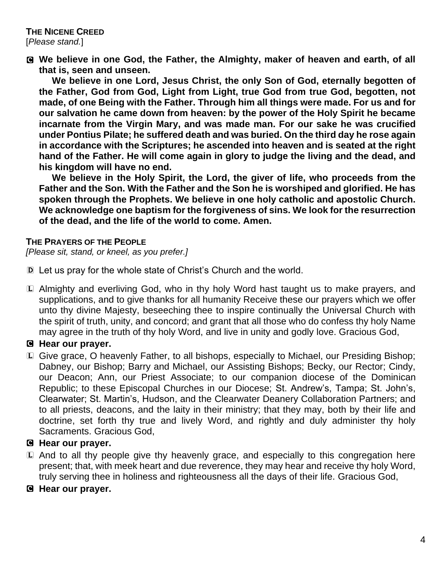C **We believe in one God, the Father, the Almighty, maker of heaven and earth, of all that is, seen and unseen.** 

**We believe in one Lord, Jesus Christ, the only Son of God, eternally begotten of the Father, God from God, Light from Light, true God from true God, begotten, not made, of one Being with the Father. Through him all things were made. For us and for our salvation he came down from heaven: by the power of the Holy Spirit he became incarnate from the Virgin Mary, and was made man. For our sake he was crucified under Pontius Pilate; he suffered death and was buried. On the third day he rose again in accordance with the Scriptures; he ascended into heaven and is seated at the right hand of the Father. He will come again in glory to judge the living and the dead, and his kingdom will have no end.**

**We believe in the Holy Spirit, the Lord, the giver of life, who proceeds from the Father and the Son. With the Father and the Son he is worshiped and glorified. He has spoken through the Prophets. We believe in one holy catholic and apostolic Church. We acknowledge one baptism for the forgiveness of sins. We look for the resurrection of the dead, and the life of the world to come. Amen.**

#### **THE PRAYERS OF THE PEOPLE**

*[Please sit, stand, or kneel, as you prefer.]*

- D Let us pray for the whole state of Christ's Church and the world.
- L Almighty and everliving God, who in thy holy Word hast taught us to make prayers, and supplications, and to give thanks for all humanity Receive these our prayers which we offer unto thy divine Majesty, beseeching thee to inspire continually the Universal Church with the spirit of truth, unity, and concord; and grant that all those who do confess thy holy Name may agree in the truth of thy holy Word, and live in unity and godly love. Gracious God,

## C **Hear our prayer.**

L Give grace, O heavenly Father, to all bishops, especially to Michael, our Presiding Bishop; Dabney, our Bishop; Barry and Michael, our Assisting Bishops; Becky, our Rector; Cindy, our Deacon; Ann, our Priest Associate; to our companion diocese of the Dominican Republic; to these Episcopal Churches in our Diocese; St. Andrew's, Tampa; St. John's, Clearwater; St. Martin's, Hudson, and the Clearwater Deanery Collaboration Partners; and to all priests, deacons, and the laity in their ministry; that they may, both by their life and doctrine, set forth thy true and lively Word, and rightly and duly administer thy holy Sacraments. Gracious God,

## C **Hear our prayer.**

- L And to all thy people give thy heavenly grace, and especially to this congregation here present; that, with meek heart and due reverence, they may hear and receive thy holy Word, truly serving thee in holiness and righteousness all the days of their life. Gracious God,
- C **Hear our prayer.**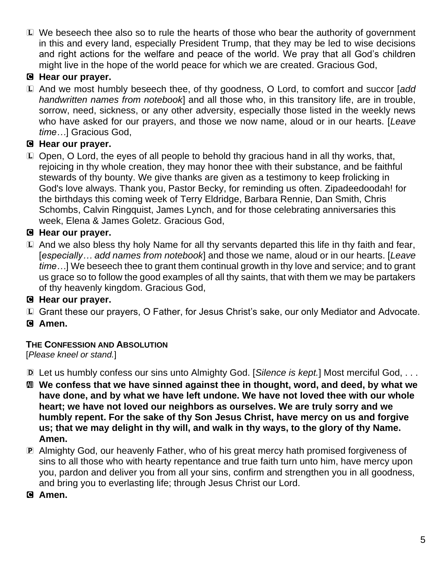L We beseech thee also so to rule the hearts of those who bear the authority of government in this and every land, especially President Trump, that they may be led to wise decisions and right actions for the welfare and peace of the world. We pray that all God's children might live in the hope of the world peace for which we are created. Gracious God,

# C **Hear our prayer.**

L And we most humbly beseech thee, of thy goodness, O Lord, to comfort and succor [*add handwritten names from notebook*] and all those who, in this transitory life, are in trouble, sorrow, need, sickness, or any other adversity, especially those listed in the weekly news who have asked for our prayers, and those we now name, aloud or in our hearts. [*Leave time…*] Gracious God,

# C **Hear our prayer.**

L Open, O Lord, the eyes of all people to behold thy gracious hand in all thy works, that, rejoicing in thy whole creation, they may honor thee with their substance, and be faithful stewards of thy bounty. We give thanks are given as a testimony to keep frolicking in God's love always. Thank you, Pastor Becky, for reminding us often. Zipadeedoodah! for the birthdays this coming week of Terry Eldridge, Barbara Rennie, Dan Smith, Chris Schombs, Calvin Ringquist, James Lynch, and for those celebrating anniversaries this week, Elena & James Goletz. Gracious God,

# C **Hear our prayer.**

L And we also bless thy holy Name for all thy servants departed this life in thy faith and fear, [*especially… add names from notebook*] and those we name, aloud or in our hearts. [*Leave time…*] We beseech thee to grant them continual growth in thy love and service; and to grant us grace so to follow the good examples of all thy saints, that with them we may be partakers of thy heavenly kingdom. Gracious God,

# C **Hear our prayer.**

L Grant these our prayers, O Father, for Jesus Christ's sake, our only Mediator and Advocate.

# C **Amen.**

# **THE CONFESSION AND ABSOLUTION**

[*Please kneel or stand.*]

- D Let us humbly confess our sins unto Almighty God. [*Silence is kept.*] Most merciful God, . . .
- a **We confess that we have sinned against thee in thought, word, and deed, by what we have done, and by what we have left undone. We have not loved thee with our whole heart; we have not loved our neighbors as ourselves. We are truly sorry and we humbly repent. For the sake of thy Son Jesus Christ, have mercy on us and forgive us; that we may delight in thy will, and walk in thy ways, to the glory of thy Name. Amen.**
- P Almighty God, our heavenly Father, who of his great mercy hath promised forgiveness of sins to all those who with hearty repentance and true faith turn unto him, have mercy upon you, pardon and deliver you from all your sins, confirm and strengthen you in all goodness, and bring you to everlasting life; through Jesus Christ our Lord.

# C **Amen.**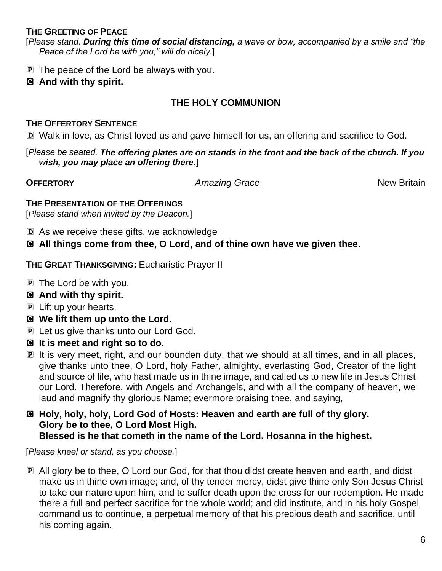### **THE GREETING OF PEACE**

[*Please stand. During this time of social distancing, a wave or bow, accompanied by a smile and "the Peace of the Lord be with you," will do nicely.*]

- **P** The peace of the Lord be always with you.
- C **And with thy spirit.**

## **THE HOLY COMMUNION**

#### **THE OFFERTORY SENTENCE**

D Walk in love, as Christ loved us and gave himself for us, an offering and sacrifice to God.

[*Please be seated. The offering plates are on stands in the front and the back of the church. If you wish, you may place an offering there.*]

**OFFERTORY** *Amazing Grace Amazing Grace New Britain* 

#### **THE PRESENTATION OF THE OFFERINGS**

[*Please stand when invited by the Deacon.*]

D As we receive these gifts, we acknowledge

C **All things come from thee, O Lord, and of thine own have we given thee.**

**THE GREAT THANKSGIVING:** Eucharistic Prayer II

- P The Lord be with you.
- C **And with thy spirit.**
- P Lift up your hearts.
- C **We lift them up unto the Lord.**
- P Let us give thanks unto our Lord God.
- C **It is meet and right so to do.**
- P It is very meet, right, and our bounden duty, that we should at all times, and in all places, give thanks unto thee, O Lord, holy Father, almighty, everlasting God, Creator of the light and source of life, who hast made us in thine image, and called us to new life in Jesus Christ our Lord. Therefore, with Angels and Archangels, and with all the company of heaven, we laud and magnify thy glorious Name; evermore praising thee, and saying,
- C **Holy, holy, holy, Lord God of Hosts: Heaven and earth are full of thy glory. Glory be to thee, O Lord Most High. Blessed is he that cometh in the name of the Lord. Hosanna in the highest.**

[*Please kneel or stand, as you choose.*]

P All glory be to thee, O Lord our God, for that thou didst create heaven and earth, and didst make us in thine own image; and, of thy tender mercy, didst give thine only Son Jesus Christ to take our nature upon him, and to suffer death upon the cross for our redemption. He made there a full and perfect sacrifice for the whole world; and did institute, and in his holy Gospel command us to continue, a perpetual memory of that his precious death and sacrifice, until his coming again.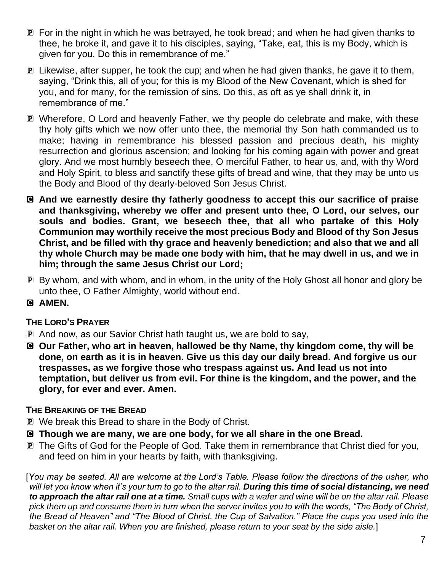- P For in the night in which he was betrayed, he took bread; and when he had given thanks to thee, he broke it, and gave it to his disciples, saying, "Take, eat, this is my Body, which is given for you. Do this in remembrance of me."
- P Likewise, after supper, he took the cup; and when he had given thanks, he gave it to them, saying, "Drink this, all of you; for this is my Blood of the New Covenant, which is shed for you, and for many, for the remission of sins. Do this, as oft as ye shall drink it, in remembrance of me."
- P Wherefore, O Lord and heavenly Father, we thy people do celebrate and make, with these thy holy gifts which we now offer unto thee, the memorial thy Son hath commanded us to make; having in remembrance his blessed passion and precious death, his mighty resurrection and glorious ascension; and looking for his coming again with power and great glory. And we most humbly beseech thee, O merciful Father, to hear us, and, with thy Word and Holy Spirit, to bless and sanctify these gifts of bread and wine, that they may be unto us the Body and Blood of thy dearly-beloved Son Jesus Christ.
- C **And we earnestly desire thy fatherly goodness to accept this our sacrifice of praise and thanksgiving, whereby we offer and present unto thee, O Lord, our selves, our souls and bodies. Grant, we beseech thee, that all who partake of this Holy Communion may worthily receive the most precious Body and Blood of thy Son Jesus Christ, and be filled with thy grace and heavenly benediction; and also that we and all thy whole Church may be made one body with him, that he may dwell in us, and we in him; through the same Jesus Christ our Lord;**
- P By whom, and with whom, and in whom, in the unity of the Holy Ghost all honor and glory be unto thee, O Father Almighty, world without end.
- C **AMEN.**

## **THE LORD'S PRAYER**

- P And now, as our Savior Christ hath taught us, we are bold to say,
- C **Our Father, who art in heaven, hallowed be thy Name, thy kingdom come, thy will be done, on earth as it is in heaven. Give us this day our daily bread. And forgive us our trespasses, as we forgive those who trespass against us. And lead us not into temptation, but deliver us from evil. For thine is the kingdom, and the power, and the glory, for ever and ever. Amen.**

## **THE BREAKING OF THE BREAD**

- P We break this Bread to share in the Body of Christ.
- C **Though we are many, we are one body, for we all share in the one Bread.**
- P The Gifts of God for the People of God. Take them in remembrance that Christ died for you, and feed on him in your hearts by faith, with thanksgiving.

[*You may be seated. All are welcome at the Lord's Table. Please follow the directions of the usher, who will let you know when it's your turn to go to the altar rail. During this time of social distancing, we need to approach the altar rail one at a time. Small cups with a wafer and wine will be on the altar rail. Please pick them up and consume them in turn when the server invites you to with the words, "The Body of Christ, the Bread of Heaven" and "The Blood of Christ, the Cup of Salvation." Place the cups you used into the basket on the altar rail. When you are finished, please return to your seat by the side aisle.*]